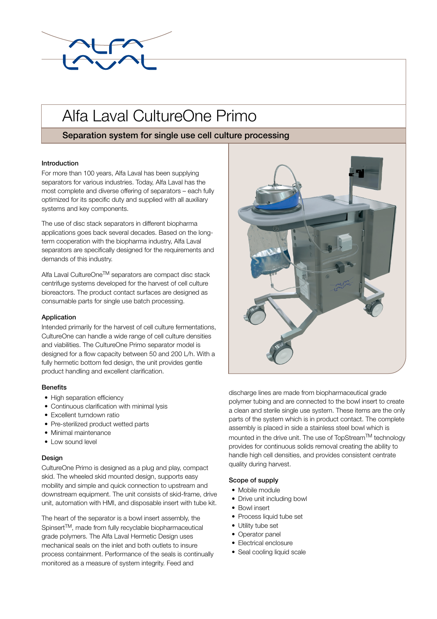

# Alfa Laval CultureOne Primo

# Separation system for single use cell culture processing

# Introduction

For more than 100 years, Alfa Laval has been supplying separators for various industries. Today, Alfa Laval has the most complete and diverse offering of separators – each fully optimized for its specific duty and supplied with all auxiliary systems and key components.

The use of disc stack separators in different biopharma applications goes back several decades. Based on the longterm cooperation with the biopharma industry, Alfa Laval separators are specifically designed for the requirements and demands of this industry.

Alfa Laval CultureOne<sup>™</sup> separators are compact disc stack centrifuge systems developed for the harvest of cell culture bioreactors. The product contact surfaces are designed as consumable parts for single use batch processing.

### Application

Intended primarily for the harvest of cell culture fermentations, CultureOne can handle a wide range of cell culture densities and viabilities. The CultureOne Primo separator model is designed for a flow capacity between 50 and 200 L/h. With a fully hermetic bottom fed design, the unit provides gentle product handling and excellent clarification.

### **Benefits**

- High separation efficiency
- Continuous clarification with minimal lysis
- Excellent turndown ratio
- Pre-sterilized product wetted parts
- Minimal maintenance
- Low sound level

### **Design**

CultureOne Primo is designed as a plug and play, compact skid. The wheeled skid mounted design, supports easy mobility and simple and quick connection to upstream and downstream equipment. The unit consists of skid-frame, drive unit, automation with HMI, and disposable insert with tube kit.

The heart of the separator is a bowl insert assembly, the Spinsert<sup>™</sup>, made from fully recyclable biopharmaceutical grade polymers. The Alfa Laval Hermetic Design uses mechanical seals on the inlet and both outlets to insure process containment. Performance of the seals is continually monitored as a measure of system integrity. Feed and



discharge lines are made from biopharmaceutical grade polymer tubing and are connected to the bowl insert to create a clean and sterile single use system. These items are the only parts of the system which is in product contact. The complete assembly is placed in side a stainless steel bowl which is mounted in the drive unit. The use of TopStream™ technology provides for continuous solids removal creating the ability to handle high cell densities, and provides consistent centrate quality during harvest.

### Scope of supply

- Mobile module
- Drive unit including bowl
- Bowl insert
- Process liquid tube set
- Utility tube set
- Operator panel
- Electrical enclosure
- Seal cooling liquid scale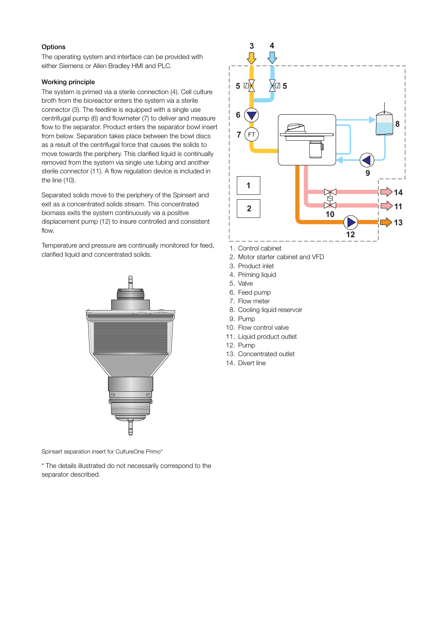### **Options**

The operating system and interface can be provided with either Siemens or Allen Bradley HMI and PLC.

### Working principle

The system is primed via a sterile connection (4). Cell culture broth from the bioreactor enters the system via a sterile connector (3). The feedline is equipped with a single use centrifugal pump (6) and flowmeter (7) to deliver and measure flow to the separator. Product enters the separator bowl insert from below. Separation takes place between the bowl discs as a result of the centrifugal force that causes the solids to move towards the periphery. This clarified liquid is continually removed from the system via single use tubing and another sterile connector (11). A flow regulation device is included in the line (10).

Separated solids move to the periphery of the Spinsert and exit as a concentrated solids stream. This concentrated biomass exits the system continuously via a positive displacement pump (12) to insure controlled and consistent flow.

Temperature and pressure are continually monitored for feed, clarified liquid and concentrated solids.



Spinsert separation insert for CultureOne Primo\*

\* The details illustrated do not necessarily correspond to the separator described.



- 1. Control cabinet
- 2. Motor starter cabinet and VFD
- 3. Product inlet
- 4. Priming liquid
- 5. Valve
	- 6. Feed pump
	- 7. Flow meter
	- 8. Cooling liquid reservoir
	- 9. Pump
	- 10. Flow control valve
- 11. Liquid product outlet
	- 12. Pump
	- 13. Concentrated outlet
	- 14. Divert line